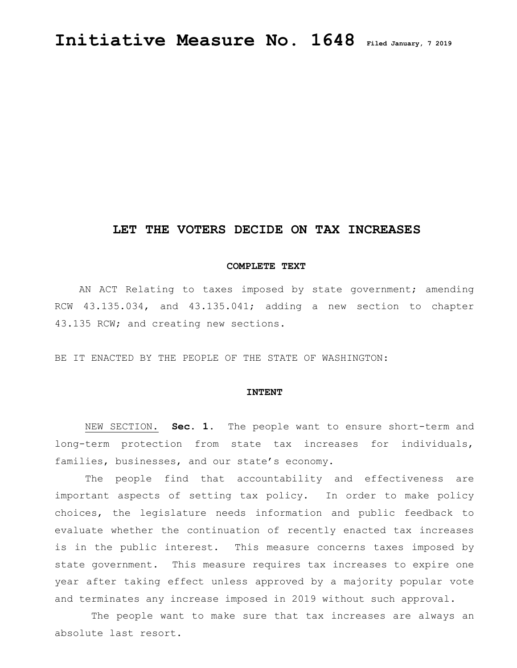# **LET THE VOTERS DECIDE ON TAX INCREASES**

### **COMPLETE TEXT**

AN ACT Relating to taxes imposed by state government; amending RCW 43.135.034, and 43.135.041; adding a new section to chapter 43.135 RCW; and creating new sections.

BE IT ENACTED BY THE PEOPLE OF THE STATE OF WASHINGTON:

#### **INTENT**

 NEW SECTION. **Sec. 1.** The people want to ensure short-term and long-term protection from state tax increases for individuals, families, businesses, and our state's economy.

The people find that accountability and effectiveness are important aspects of setting tax policy. In order to make policy choices, the legislature needs information and public feedback to evaluate whether the continuation of recently enacted tax increases is in the public interest. This measure concerns taxes imposed by state government. This measure requires tax increases to expire one year after taking effect unless approved by a majority popular vote and terminates any increase imposed in 2019 without such approval.

 The people want to make sure that tax increases are always an absolute last resort.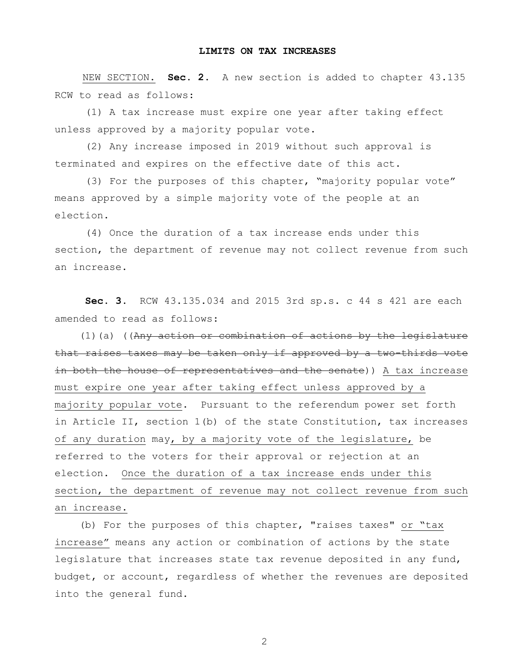## **LIMITS ON TAX INCREASES**

 NEW SECTION. **Sec. 2.** A new section is added to chapter 43.135 RCW to read as follows:

 (1) A tax increase must expire one year after taking effect unless approved by a majority popular vote.

 (2) Any increase imposed in 2019 without such approval is terminated and expires on the effective date of this act.

 (3) For the purposes of this chapter, "majority popular vote" means approved by a simple majority vote of the people at an election.

 (4) Once the duration of a tax increase ends under this section, the department of revenue may not collect revenue from such an increase.

 **Sec. 3.** RCW 43.135.034 and 2015 3rd sp.s. c 44 s 421 are each amended to read as follows:

 (1)(a) ((Any action or combination of actions by the legislature that raises taxes may be taken only if approved by a two-thirds vote in both the house of representatives and the senate)) A tax increase must expire one year after taking effect unless approved by a majority popular vote. Pursuant to the referendum power set forth in Article II, section 1(b) of the state Constitution, tax increases of any duration may, by a majority vote of the legislature, be referred to the voters for their approval or rejection at an election. Once the duration of a tax increase ends under this section, the department of revenue may not collect revenue from such an increase.

 (b) For the purposes of this chapter, "raises taxes" or "tax increase" means any action or combination of actions by the state legislature that increases state tax revenue deposited in any fund, budget, or account, regardless of whether the revenues are deposited into the general fund.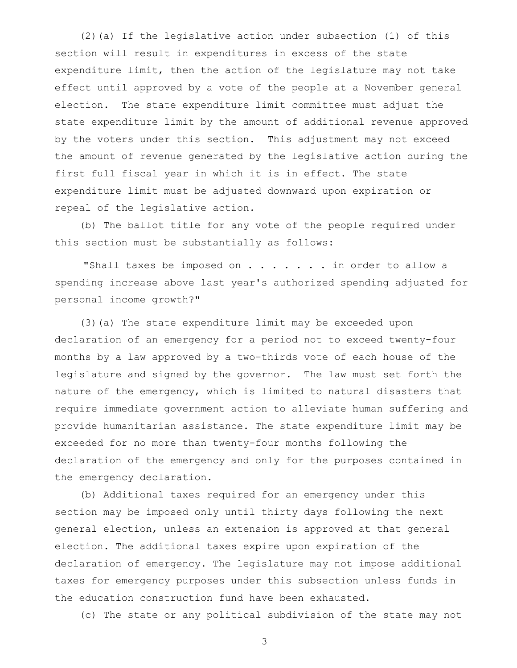(2)(a) If the legislative action under subsection (1) of this section will result in expenditures in excess of the state expenditure limit, then the action of the legislature may not take effect until approved by a vote of the people at a November general election. The state expenditure limit committee must adjust the state expenditure limit by the amount of additional revenue approved by the voters under this section. This adjustment may not exceed the amount of revenue generated by the legislative action during the first full fiscal year in which it is in effect. The state expenditure limit must be adjusted downward upon expiration or repeal of the legislative action.

 (b) The ballot title for any vote of the people required under this section must be substantially as follows:

 "Shall taxes be imposed on . . . . . . . in order to allow a spending increase above last year's authorized spending adjusted for personal income growth?"

 (3)(a) The state expenditure limit may be exceeded upon declaration of an emergency for a period not to exceed twenty-four months by a law approved by a two-thirds vote of each house of the legislature and signed by the governor. The law must set forth the nature of the emergency, which is limited to natural disasters that require immediate government action to alleviate human suffering and provide humanitarian assistance. The state expenditure limit may be exceeded for no more than twenty-four months following the declaration of the emergency and only for the purposes contained in the emergency declaration.

 (b) Additional taxes required for an emergency under this section may be imposed only until thirty days following the next general election, unless an extension is approved at that general election. The additional taxes expire upon expiration of the declaration of emergency. The legislature may not impose additional taxes for emergency purposes under this subsection unless funds in the education construction fund have been exhausted.

(c) The state or any political subdivision of the state may not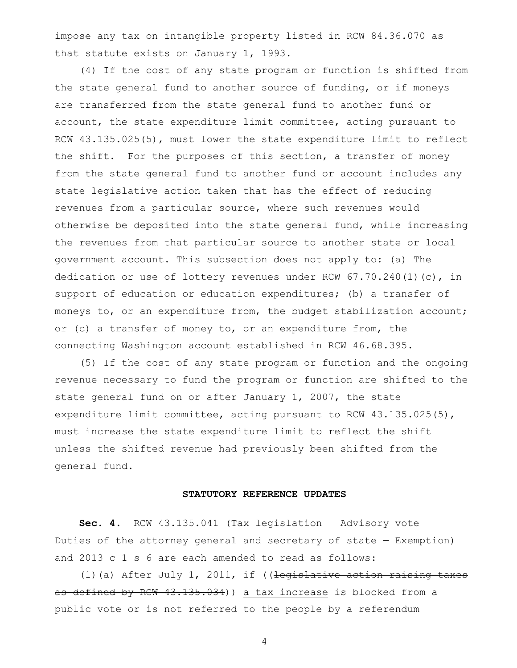impose any tax on intangible property listed in RCW 84.36.070 as that statute exists on January 1, 1993.

 (4) If the cost of any state program or function is shifted from the state general fund to another source of funding, or if moneys are transferred from the state general fund to another fund or account, the state expenditure limit committee, acting pursuant to RCW 43.135.025(5), must lower the state expenditure limit to reflect the shift. For the purposes of this section, a transfer of money from the state general fund to another fund or account includes any state legislative action taken that has the effect of reducing revenues from a particular source, where such revenues would otherwise be deposited into the state general fund, while increasing the revenues from that particular source to another state or local government account. This subsection does not apply to: (a) The dedication or use of lottery revenues under RCW  $67.70.240(1)(c)$ , in support of education or education expenditures; (b) a transfer of moneys to, or an expenditure from, the budget stabilization account; or (c) a transfer of money to, or an expenditure from, the connecting Washington account established in RCW 46.68.395.

 (5) If the cost of any state program or function and the ongoing revenue necessary to fund the program or function are shifted to the state general fund on or after January 1, 2007, the state expenditure limit committee, acting pursuant to RCW 43.135.025(5), must increase the state expenditure limit to reflect the shift unless the shifted revenue had previously been shifted from the general fund.

#### **STATUTORY REFERENCE UPDATES**

 **Sec. 4.** RCW 43.135.041 (Tax legislation — Advisory vote — Duties of the attorney general and secretary of state — Exemption) and 2013 c 1 s 6 are each amended to read as follows:

 (1)(a) After July 1, 2011, if ((legislative action raising taxes as defined by RCW 43.135.034)) a tax increase is blocked from a public vote or is not referred to the people by a referendum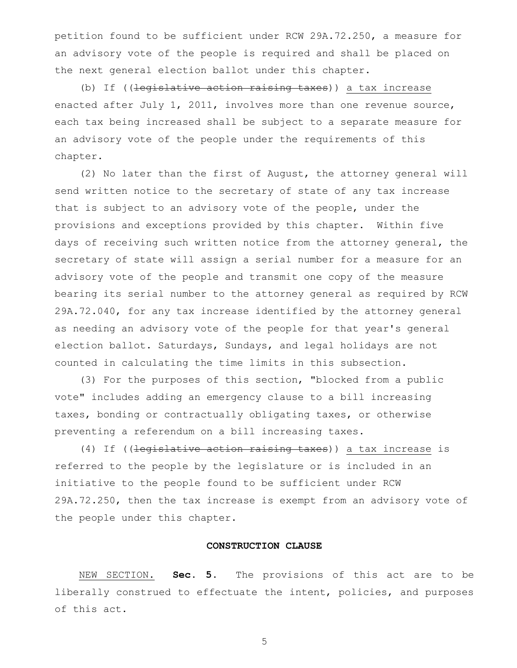petition found to be sufficient under RCW 29A.72.250, a measure for an advisory vote of the people is required and shall be placed on the next general election ballot under this chapter.

(b) If ((legislative action raising taxes)) a tax increase enacted after July 1, 2011, involves more than one revenue source, each tax being increased shall be subject to a separate measure for an advisory vote of the people under the requirements of this chapter.

 (2) No later than the first of August, the attorney general will send written notice to the secretary of state of any tax increase that is subject to an advisory vote of the people, under the provisions and exceptions provided by this chapter. Within five days of receiving such written notice from the attorney general, the secretary of state will assign a serial number for a measure for an advisory vote of the people and transmit one copy of the measure bearing its serial number to the attorney general as required by RCW 29A.72.040, for any tax increase identified by the attorney general as needing an advisory vote of the people for that year's general election ballot. Saturdays, Sundays, and legal holidays are not counted in calculating the time limits in this subsection.

 (3) For the purposes of this section, "blocked from a public vote" includes adding an emergency clause to a bill increasing taxes, bonding or contractually obligating taxes, or otherwise preventing a referendum on a bill increasing taxes.

 (4) If ((legislative action raising taxes)) a tax increase is referred to the people by the legislature or is included in an initiative to the people found to be sufficient under RCW 29A.72.250, then the tax increase is exempt from an advisory vote of the people under this chapter.

#### **CONSTRUCTION CLAUSE**

NEW SECTION. **Sec. 5.** The provisions of this act are to be liberally construed to effectuate the intent, policies, and purposes of this act.